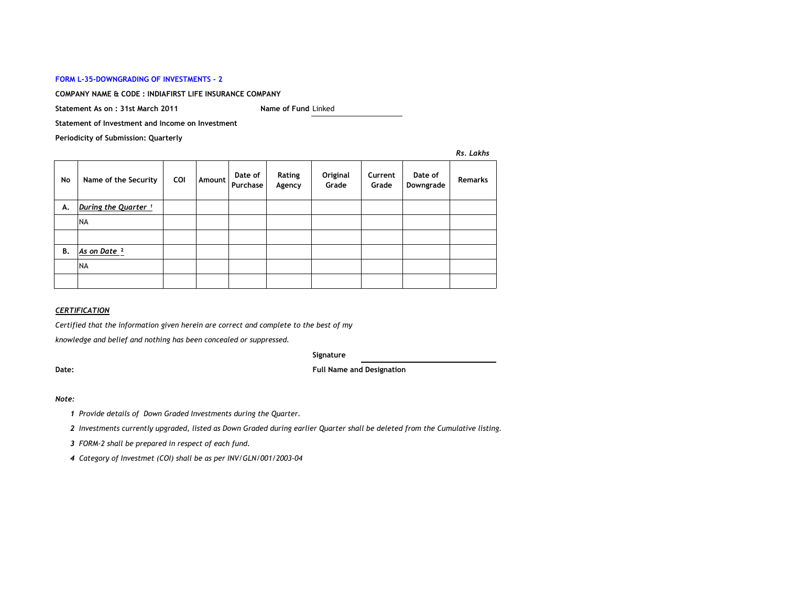## **FORM L-35-DOWNGRADING OF INVESTMENTS - 2**

**COMPANY NAME & CODE : INDIAFIRST LIFE INSURANCE COMPANY** 

**Statement As on : 31st March 2011** 

Name of Fund Linked

**Statement of Investment and Income on Investment**

**Periodicity of Submission: Quarterly**

|    |                                 |            |        |                     |                  |                   |                  |                      | 10.111         |
|----|---------------------------------|------------|--------|---------------------|------------------|-------------------|------------------|----------------------|----------------|
| No | Name of the Security            | <b>COI</b> | Amount | Date of<br>Purchase | Rating<br>Agency | Original<br>Grade | Current<br>Grade | Date of<br>Downgrade | <b>Remarks</b> |
| А. | During the Quarter <sup>1</sup> |            |        |                     |                  |                   |                  |                      |                |
|    | <b>NA</b>                       |            |        |                     |                  |                   |                  |                      |                |
|    |                                 |            |        |                     |                  |                   |                  |                      |                |
| В. | As on Date <sup>2</sup>         |            |        |                     |                  |                   |                  |                      |                |
|    | <b>NA</b>                       |            |        |                     |                  |                   |                  |                      |                |
|    |                                 |            |        |                     |                  |                   |                  |                      |                |

## *CERTIFICATION*

*Certified that the information given herein are correct and complete to the best of my*

*knowledge and belief and nothing has been concealed or suppressed.*

**Signature**

**Date:**

**Full Name and Designation**

*Note:*

*1 Provide details of Down Graded Investments during the Quarter.* 

*2 Investments currently upgraded, listed as Down Graded during earlier Quarter shall be deleted from the Cumulative listing.*

*3 FORM-2 shall be prepared in respect of each fund.*

*4 Category of Investmet (COI) shall be as per INV/GLN/001/2003-04*

*Rs. Lakhs*